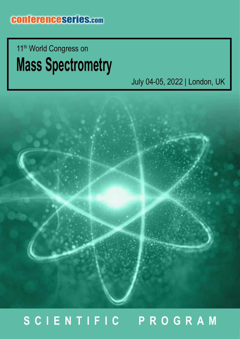## **Mass Spectrometry** 11<sup>th</sup> World Congress on

July 04-05, 2022 | London, UK



## **SCIENTIFIC PROGRAM**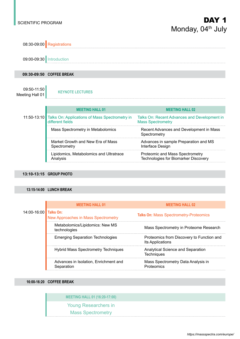Technologies for Biomarker Discovery



#### **13:10-13:15 GROUP PHOTO**

Analysis

#### **13:15-14:00 LUNCH BREAK**

|             | <b>MEETING HALL 01</b>                                  | <b>MEETING HALL 02</b>                                        |
|-------------|---------------------------------------------------------|---------------------------------------------------------------|
| 14:00-16:00 | Talks On:<br><b>New Approaches in Mass Spectrometry</b> | <b>Talks On: Mass Spectrometry-Proteomics</b>                 |
|             | Metabolomics/Lipidomics: New MS<br>technologies         | Mass Spectrometry in Proteome Research                        |
|             | <b>Emerging Separation Technologies</b>                 | Proteomics from Discovery to Function and<br>Its Applications |
|             | <b>Hybrid Mass Spectrometry Techniques</b>              | Analytical Science and Separation<br><b>Techniques</b>        |
|             | Advances in Isolation, Enrichment and<br>Separation     | Mass Spectrometry Data Analysis in<br>Proteomics              |
|             |                                                         |                                                               |

#### **16:00-16:20 COFFEE BREAK**

**MEETING HALL 01 (16:20-17:00)**

Young Researchers in

Mass Spectrometry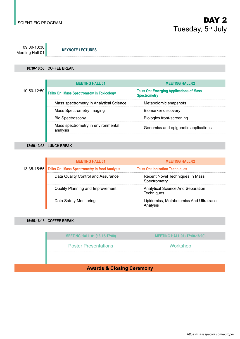09:00-10:30 Meeting Hall 01 **KEYNOTE LECTURES**

#### **10:30-10:50 COFFEE BREAK**

|                 | <b>MEETING HALL 01</b>                           | <b>MEETING HALL 02</b>                                                |
|-----------------|--------------------------------------------------|-----------------------------------------------------------------------|
| $10:50 - 12:50$ | <b>Talks On: Mass Spectrometry in Toxicology</b> | <b>Talks On: Emerging Applications of Mass</b><br><b>Spectrometry</b> |
|                 | Mass spectrometry in Analytical Science          | Metabolomic snapshots                                                 |
|                 | Mass Spectrometry Imaging                        | Biomarker discovery                                                   |
|                 | <b>Bio Spectroscopy</b>                          | <b>Biologics front-screening</b>                                      |
|                 | Mass spectrometry in environmental<br>analysis   | Genomics and epigenetic applications                                  |
|                 |                                                  |                                                                       |

**12:50-13:35 LUNCH BREAK**

|  | <b>MEETING HALL 01</b>                                   | <b>MEETING HALL 02</b>                                        |
|--|----------------------------------------------------------|---------------------------------------------------------------|
|  | 13:35-15:55 Talks On: Mass Spectrometry in food Analysis | <b>Talks On: Ionization Techniques</b>                        |
|  | Data Quality Control and Assurance                       | Recent Novel Techniques In Mass<br>Spectrometry               |
|  | <b>Quality Planning and Improvement</b>                  | <b>Analytical Science And Separation</b><br><b>Techniques</b> |
|  | Data Safety Monitoring                                   | Lipidomics, Metabolomics And Ultratrace<br>Analysis           |

#### **15:55-16:15 COFFEE BREAK**

| <b>MEETING HALL 01 (16:15-17:00)</b> | <b>MEETING HALL 01 (17:00-18:00)</b> |  |  |
|--------------------------------------|--------------------------------------|--|--|
| <b>Poster Presentations</b>          | Workshop                             |  |  |
|                                      |                                      |  |  |
| ×<br>.<br>$\sim$                     |                                      |  |  |

**Awards & Closing Ceremony**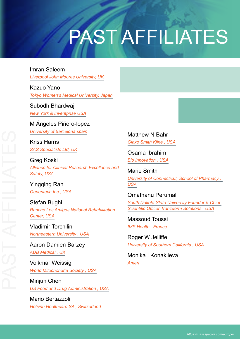# PAST AFFILIATES

#### Imran Saleem

*Liverpool John Moores University, UK*

#### Kazuo Yano *Tokyo Women's Medical University, Japan*

### Subodh Bhardwaj

*New York & Inventprise USA*

#### M Ángeles Piñero-lopez

*University of Barcelona spain*

Kriss Harris *SAS Specialists Ltd, UK*

#### Greg Koski *Alliance for Clinical Research Excellence and Safety, USA*

Yingqing Ran *Genentech Inc., USA*

#### Stefan Bughi *Rancho Los Amigos National Rehabilitation Center, USA*

Vladimir Torchilin *Northeastern University , USA*

#### Aaron Damien Barzey *ADB Medical , UK*

Volkmar Weissig *World Mitochondria Society , USA*

Minjun Chen *US Food and Drug Administration , USA*

Mario Bertazzoli *Helsinn Healthcare SA , Switzerland* Matthew N Bahr *Glaxo Smith Kline , USA*

Osama Ibrahim *Bio Innovation , USA*

Marie Smith *University of Connecticut, School of Pharmacy , USA*

#### Omathanu Perumal *South Dakota State University Founder & Chief Scientific Officer Tranzderm Solutions , USA*

Massoud Toussi *IMS Health , France*

Roger W Jelliffe *University of Southern California , USA*

Monika I Konaklieva *Ameri*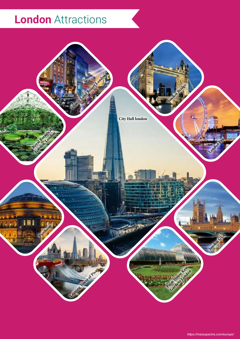## **London** Attractions